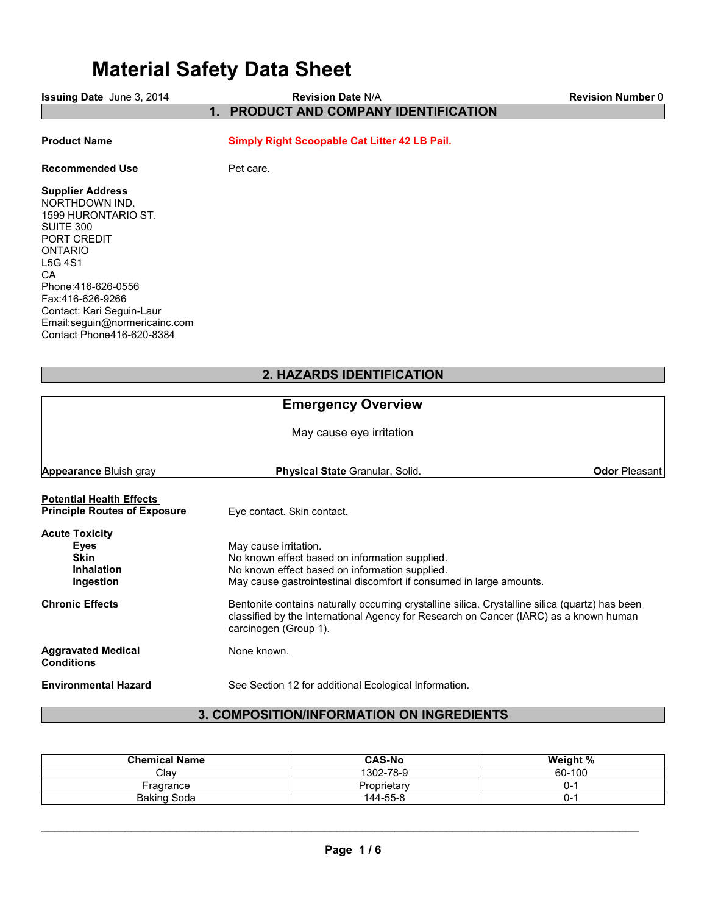# Material Safety Data Sheet

| Issuing Date June 3, 2014                                                                                                                                                                                                                                      | 1.          | <b>Revision Date N/A</b><br>PRODUCT AND COMPANY IDENTIFICATION                                                                                                                                                    | <b>Revision Number 0</b> |
|----------------------------------------------------------------------------------------------------------------------------------------------------------------------------------------------------------------------------------------------------------------|-------------|-------------------------------------------------------------------------------------------------------------------------------------------------------------------------------------------------------------------|--------------------------|
|                                                                                                                                                                                                                                                                |             |                                                                                                                                                                                                                   |                          |
| <b>Product Name</b>                                                                                                                                                                                                                                            |             | Simply Right Scoopable Cat Litter 42 LB Pail.                                                                                                                                                                     |                          |
| <b>Recommended Use</b>                                                                                                                                                                                                                                         | Pet care.   |                                                                                                                                                                                                                   |                          |
| <b>Supplier Address</b><br>NORTHDOWN IND.<br>1599 HURONTARIO ST.<br>SUITE 300<br>PORT CREDIT<br>ONTARIO<br>L5G 4S1<br>СA<br>Phone: 416-626-0556<br>Fax:416-626-9266<br>Contact: Kari Seguin-Laur<br>Email:seguin@normericainc.com<br>Contact Phone416-620-8384 |             |                                                                                                                                                                                                                   |                          |
|                                                                                                                                                                                                                                                                |             | 2. HAZARDS IDENTIFICATION                                                                                                                                                                                         |                          |
|                                                                                                                                                                                                                                                                |             | <b>Emergency Overview</b>                                                                                                                                                                                         |                          |
|                                                                                                                                                                                                                                                                |             | May cause eye irritation                                                                                                                                                                                          |                          |
| <b>Appearance Bluish gray</b>                                                                                                                                                                                                                                  |             | Physical State Granular, Solid.                                                                                                                                                                                   | <b>Odor Pleasant</b>     |
| <b>Potential Health Effects</b><br><b>Principle Routes of Exposure</b>                                                                                                                                                                                         |             | Eye contact. Skin contact.                                                                                                                                                                                        |                          |
| <b>Acute Toxicity</b><br><b>Eyes</b><br><b>Skin</b><br><b>Inhalation</b><br>Ingestion                                                                                                                                                                          |             | May cause irritation.<br>No known effect based on information supplied.<br>No known effect based on information supplied.<br>May cause gastrointestinal discomfort if consumed in large amounts.                  |                          |
| <b>Chronic Effects</b>                                                                                                                                                                                                                                         |             | Bentonite contains naturally occurring crystalline silica. Crystalline silica (quartz) has been<br>classified by the International Agency for Research on Cancer (IARC) as a known human<br>carcinogen (Group 1). |                          |
| <b>Aggravated Medical</b><br><b>Conditions</b>                                                                                                                                                                                                                 | None known. |                                                                                                                                                                                                                   |                          |
| <b>Environmental Hazard</b>                                                                                                                                                                                                                                    |             | See Section 12 for additional Ecological Information.                                                                                                                                                             |                          |

## 3. COMPOSITION/INFORMATION ON INGREDIENTS

| <b>Chemical Name</b> | <b>CAS-No</b> | Weight % |
|----------------------|---------------|----------|
| Clav                 | 1302-78-9     | 60-100   |
| Fragrance            | Proprietary   | J-       |
| <b>Baking Soda</b>   | 144-55-8      | . J-     |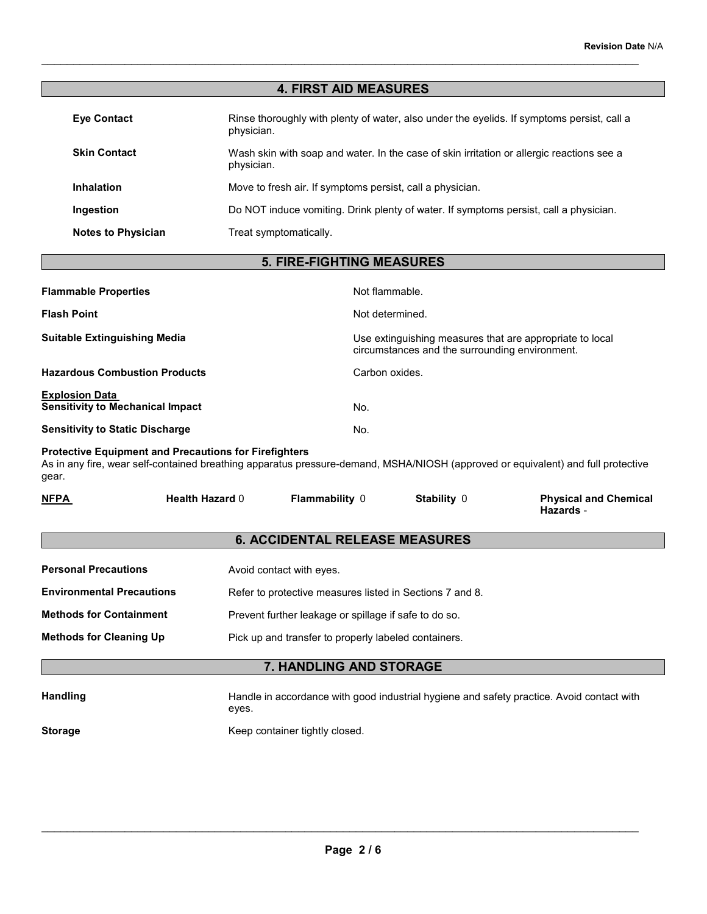### 4. FIRST AID MEASURES

\_\_\_\_\_\_\_\_\_\_\_\_\_\_\_\_\_\_\_\_\_\_\_\_\_\_\_\_\_\_\_\_\_\_\_\_\_\_\_\_\_\_\_\_\_\_\_\_\_\_\_\_\_\_\_\_\_\_\_\_\_\_\_\_\_\_\_\_\_\_\_\_\_\_\_\_\_\_\_\_\_\_\_\_\_\_\_\_\_\_\_\_\_

| <b>Eye Contact</b>        | Rinse thoroughly with plenty of water, also under the eyelids. If symptoms persist, call a<br>physician. |
|---------------------------|----------------------------------------------------------------------------------------------------------|
| <b>Skin Contact</b>       | Wash skin with soap and water. In the case of skin irritation or allergic reactions see a<br>physician.  |
| <b>Inhalation</b>         | Move to fresh air. If symptoms persist, call a physician.                                                |
| Ingestion                 | Do NOT induce vomiting. Drink plenty of water. If symptoms persist, call a physician.                    |
| <b>Notes to Physician</b> | Treat symptomatically.                                                                                   |

### 5. FIRE-FIGHTING MEASURES

| <b>Flammable Properties</b>                                      | Not flammable.                                                                                             |
|------------------------------------------------------------------|------------------------------------------------------------------------------------------------------------|
| <b>Flash Point</b>                                               | Not determined.                                                                                            |
| <b>Suitable Extinguishing Media</b>                              | Use extinguishing measures that are appropriate to local<br>circumstances and the surrounding environment. |
| <b>Hazardous Combustion Products</b>                             | Carbon oxides.                                                                                             |
| <b>Explosion Data</b><br><b>Sensitivity to Mechanical Impact</b> | No.                                                                                                        |
| <b>Sensitivity to Static Discharge</b>                           | No.                                                                                                        |

#### Protective Equipment and Precautions for Firefighters

As in any fire, wear self-contained breathing apparatus pressure-demand, MSHA/NIOSH (approved or equivalent) and full protective gear.

| <b>NFPA</b><br>____ | <b>Health Hazard 0</b> | <b>Flammability</b> | Stability 0 | <b>Physical and Chemical</b><br><b>Hazards</b> - |
|---------------------|------------------------|---------------------|-------------|--------------------------------------------------|
|---------------------|------------------------|---------------------|-------------|--------------------------------------------------|

### 6. ACCIDENTAL RELEASE MEASURES

| <b>Personal Precautions</b>      | Avoid contact with eyes.                                 |
|----------------------------------|----------------------------------------------------------|
| <b>Environmental Precautions</b> | Refer to protective measures listed in Sections 7 and 8. |
| <b>Methods for Containment</b>   | Prevent further leakage or spillage if safe to do so.    |
| <b>Methods for Cleaning Up</b>   | Pick up and transfer to properly labeled containers.     |
|                                  |                                                          |

### 7. HANDLING AND STORAGE

Handling Handle in accordance with good industrial hygiene and safety practice. Avoid contact with eyes.

**Storage** 

Keep container tightly closed.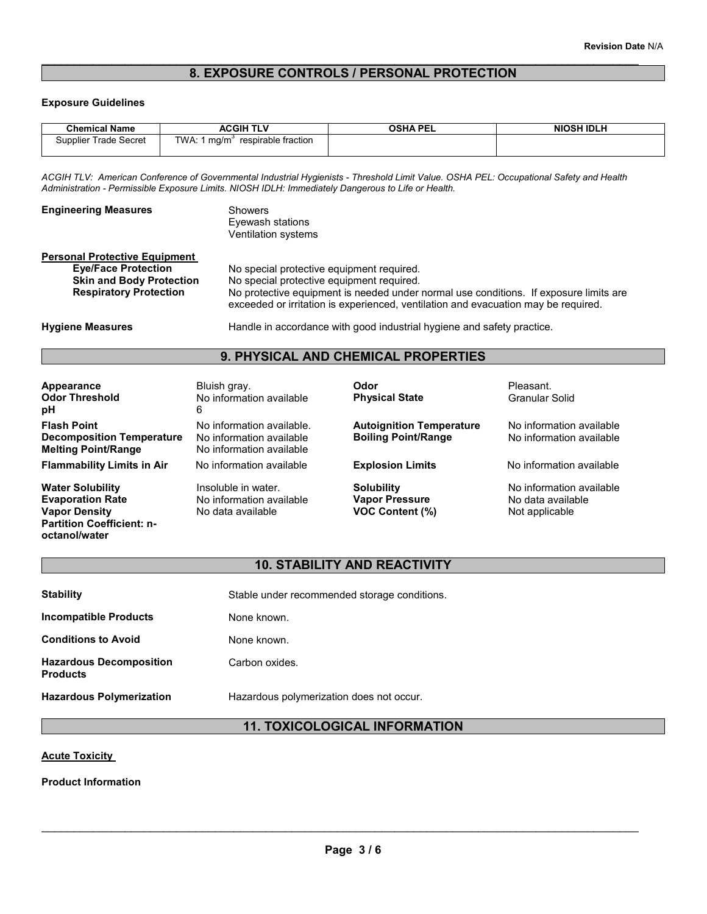### \_\_\_\_\_\_\_\_\_\_\_\_\_\_\_\_\_\_\_\_\_\_\_\_\_\_\_\_\_\_\_\_\_\_\_\_\_\_\_\_\_\_\_\_\_\_\_\_\_\_\_\_\_\_\_\_\_\_\_\_\_\_\_\_\_\_\_\_\_\_\_\_\_\_\_\_\_\_\_\_\_\_\_\_\_\_\_\_\_\_\_\_\_ 8. EXPOSURE CONTROLS / PERSONAL PROTECTION

### Exposure Guidelines

| <b>Chemical Name</b>  | <b>ACGIH TLV</b>                      | <b>OSHA PEL</b> | <b>NIOSH IDLH</b> |
|-----------------------|---------------------------------------|-----------------|-------------------|
| Supplier Trade Secret | TWA: 1 $ma/m3$<br>respirable fraction |                 |                   |
|                       |                                       |                 |                   |

ACGIH TLV: American Conference of Governmental Industrial Hygienists - Threshold Limit Value. OSHA PEL: Occupational Safety and Health Administration - Permissible Exposure Limits. NIOSH IDLH: Immediately Dangerous to Life or Health.

| <b>Engineering Measures</b>          | <b>Showers</b><br>Evewash stations<br>Ventilation systems                                                                                                                   |
|--------------------------------------|-----------------------------------------------------------------------------------------------------------------------------------------------------------------------------|
| <b>Personal Protective Equipment</b> |                                                                                                                                                                             |
| <b>Eye/Face Protection</b>           | No special protective equipment required.                                                                                                                                   |
| <b>Skin and Body Protection</b>      | No special protective equipment required.                                                                                                                                   |
| <b>Respiratory Protection</b>        | No protective equipment is needed under normal use conditions. If exposure limits are<br>exceeded or irritation is experienced, ventilation and evacuation may be required. |
| .                                    |                                                                                                                                                                             |

Hygiene Measures **Handle in accordance with good industrial hygiene and safety practice.** 

### 9. PHYSICAL AND CHEMICAL PROPERTIES

| Appearance<br><b>Odor Threshold</b><br>рH                                                                                       | Bluish gray.<br>No information available<br>6                                     | Odor<br><b>Physical State</b>                                 | Pleasant.<br><b>Granular Solid</b>                              |
|---------------------------------------------------------------------------------------------------------------------------------|-----------------------------------------------------------------------------------|---------------------------------------------------------------|-----------------------------------------------------------------|
| <b>Flash Point</b><br><b>Decomposition Temperature</b><br><b>Melting Point/Range</b>                                            | No information available.<br>No information available<br>No information available | <b>Autoignition Temperature</b><br><b>Boiling Point/Range</b> | No information available<br>No information available            |
| <b>Flammability Limits in Air</b>                                                                                               | No information available                                                          | <b>Explosion Limits</b>                                       | No information available                                        |
| <b>Water Solubility</b><br><b>Evaporation Rate</b><br><b>Vapor Density</b><br><b>Partition Coefficient: n-</b><br>octanol/water | Insoluble in water.<br>No information available<br>No data available              | <b>Solubility</b><br><b>Vapor Pressure</b><br>VOC Content (%) | No information available<br>No data available<br>Not applicable |

### 10. STABILITY AND REACTIVITY

| <b>Stability</b>                                  | Stable under recommended storage conditions. |
|---------------------------------------------------|----------------------------------------------|
| Incompatible Products                             | None known.                                  |
| <b>Conditions to Avoid</b>                        | None known.                                  |
| <b>Hazardous Decomposition</b><br><b>Products</b> | Carbon oxides.                               |
| <b>Hazardous Polymerization</b>                   | Hazardous polymerization does not occur.     |

### 11. TOXICOLOGICAL INFORMATION

### **Acute Toxicity**

Product Information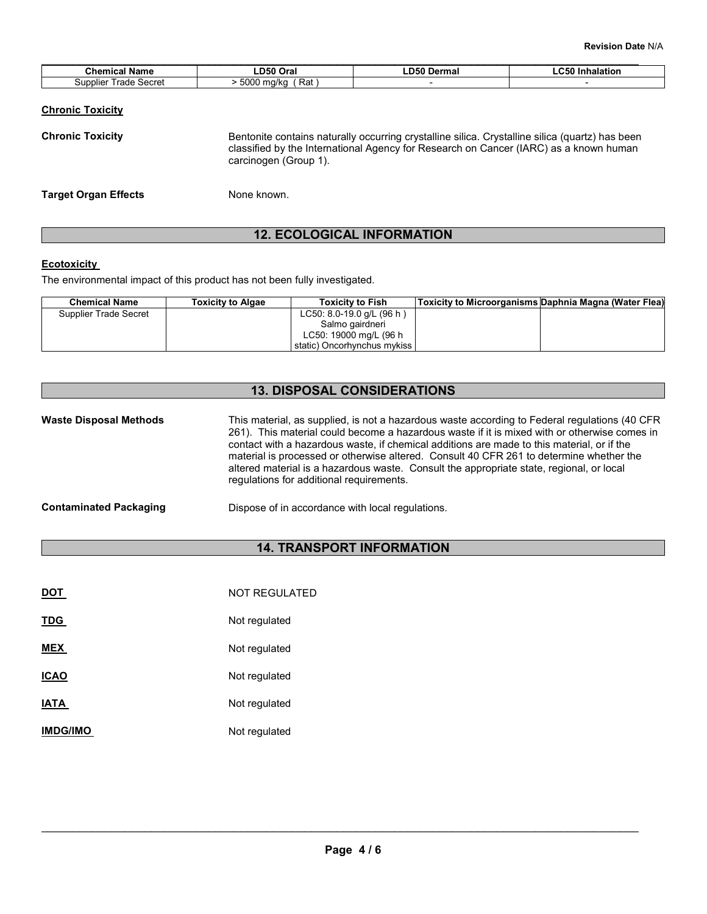| <b>LC50 Inhalation</b> |
|------------------------|
|                        |
|                        |

| <b>Chronic Toxicity</b>     | Bentonite contains naturally occurring crystalline silica. Crystalline silica (quartz) has been<br>classified by the International Agency for Research on Cancer (IARC) as a known human<br>carcinogen (Group 1). |
|-----------------------------|-------------------------------------------------------------------------------------------------------------------------------------------------------------------------------------------------------------------|
| <b>Target Organ Effects</b> | None known.                                                                                                                                                                                                       |

### 12. ECOLOGICAL INFORMATION

### **Ecotoxicity**

The environmental impact of this product has not been fully investigated.

| <b>Chemical Name</b>  | <b>Toxicity to Algae</b> | <b>Toxicity to Fish</b>       | Toxicity to Microorganisms Daphnia Magna (Water Flea) |  |
|-----------------------|--------------------------|-------------------------------|-------------------------------------------------------|--|
| Supplier Trade Secret |                          | LC50: 8.0-19.0 $q/L$ (96 h)   |                                                       |  |
|                       |                          | Salmo gairdneri               |                                                       |  |
|                       |                          | LC50: 19000 mg/L (96 h        |                                                       |  |
|                       |                          | static) Oncorhynchus mykiss I |                                                       |  |
|                       |                          |                               |                                                       |  |

### 13. DISPOSAL CONSIDERATIONS

| <b>Waste Disposal Methods</b> | This material, as supplied, is not a hazardous waste according to Federal regulations (40 CFR<br>261). This material could become a hazardous waste if it is mixed with or otherwise comes in<br>contact with a hazardous waste, if chemical additions are made to this material, or if the<br>material is processed or otherwise altered. Consult 40 CFR 261 to determine whether the<br>altered material is a hazardous waste. Consult the appropriate state, regional, or local<br>regulations for additional requirements. |
|-------------------------------|--------------------------------------------------------------------------------------------------------------------------------------------------------------------------------------------------------------------------------------------------------------------------------------------------------------------------------------------------------------------------------------------------------------------------------------------------------------------------------------------------------------------------------|
|                               |                                                                                                                                                                                                                                                                                                                                                                                                                                                                                                                                |

### Contaminated Packaging Dispose of in accordance with local regulations.

### 14. TRANSPORT INFORMATION

| DOT             | <b>NOT REGULATED</b> |
|-----------------|----------------------|
| <b>TDG</b>      | Not regulated        |
| <b>MEX</b>      | Not regulated        |
| <b>ICAO</b>     | Not regulated        |
| <b>IATA</b>     | Not regulated        |
| <b>IMDG/IMO</b> | Not regulated        |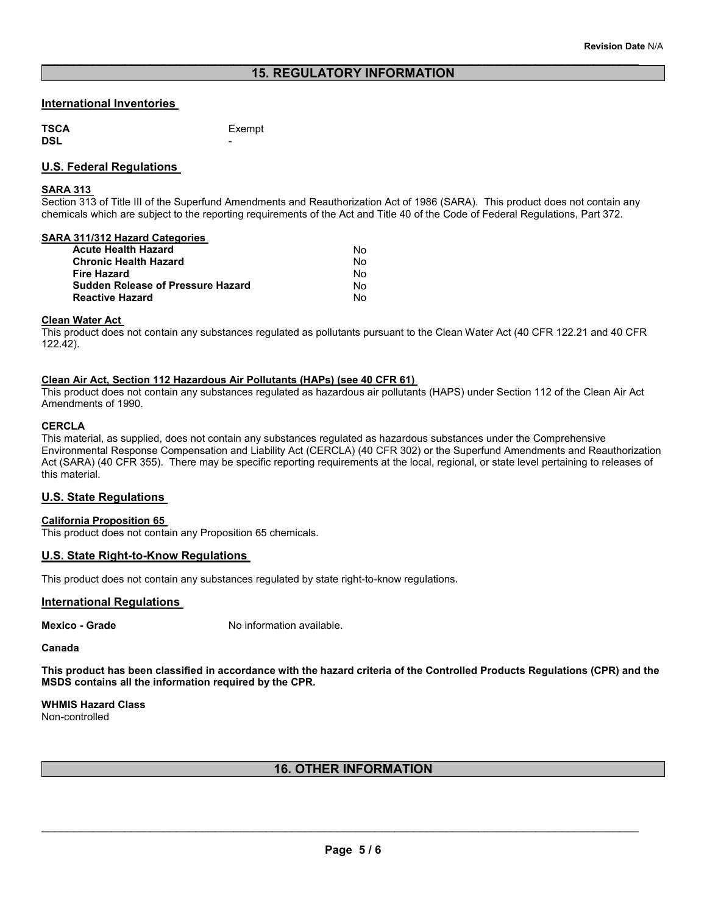\_\_\_\_\_\_\_\_\_\_\_\_\_\_\_\_\_\_\_\_\_\_\_\_\_\_\_\_\_\_\_\_\_\_\_\_\_\_\_\_\_\_\_\_\_\_\_\_\_\_\_\_\_\_\_\_\_\_\_\_\_\_\_\_\_\_\_\_\_\_\_\_\_\_\_\_\_\_\_\_\_\_\_\_\_\_\_\_\_\_\_\_\_

### International Inventories

**TSCA** TSCA Exempt Exempt Exempt DSL and the contract of the contract of the contract of the contract of the contract of the contract of the contract of the contract of the contract of the contract of the contract of the contract of the contract of the co

### U.S. Federal Regulations

### SARA 313

Section 313 of Title III of the Superfund Amendments and Reauthorization Act of 1986 (SARA). This product does not contain any chemicals which are subject to the reporting requirements of the Act and Title 40 of the Code of Federal Regulations, Part 372.

### SARA 311/312 Hazard Categories

| Acute Health Hazard               | N٥ |
|-----------------------------------|----|
| Chronic Health Hazard             | N٥ |
| Fire Hazard                       | N٥ |
| Sudden Release of Pressure Hazard | N٥ |
| Reactive Hazard                   | N٥ |
|                                   |    |

### Clean Water Act

This product does not contain any substances regulated as pollutants pursuant to the Clean Water Act (40 CFR 122.21 and 40 CFR 122.42).

### Clean Air Act, Section 112 Hazardous Air Pollutants (HAPs) (see 40 CFR 61)

This product does not contain any substances regulated as hazardous air pollutants (HAPS) under Section 112 of the Clean Air Act Amendments of 1990.

### **CERCLA**

This material, as supplied, does not contain any substances regulated as hazardous substances under the Comprehensive Environmental Response Compensation and Liability Act (CERCLA) (40 CFR 302) or the Superfund Amendments and Reauthorization Act (SARA) (40 CFR 355). There may be specific reporting requirements at the local, regional, or state level pertaining to releases of this material.

### U.S. State Regulations

### California Proposition 65

This product does not contain any Proposition 65 chemicals.

### U.S. State Right-to-Know Regulations

This product does not contain any substances regulated by state right-to-know regulations.

### International Regulations

Mexico - Grade No information available.

#### Canada

This product has been classified in accordance with the hazard criteria of the Controlled Products Regulations (CPR) and the MSDS contains all the information required by the CPR.

WHMIS Hazard Class Non-controlled

### 16. OTHER INFORMATION